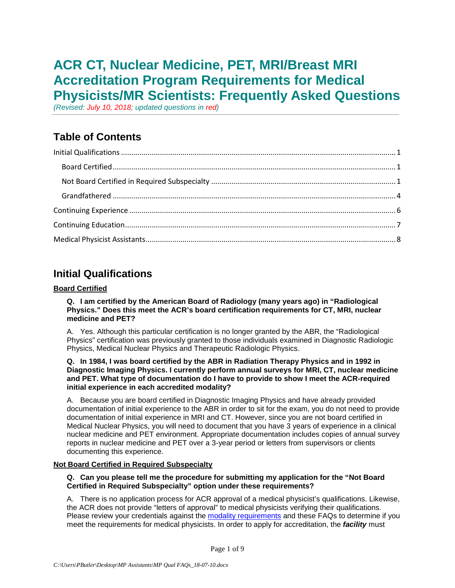# **ACR CT, Nuclear Medicine, PET, MRI/Breast MRI Accreditation Program Requirements for Medical Physicists/MR Scientists: Frequently Asked Questions**

*(Revised: July 10, 2018; updated questions in red)*

# **Table of Contents**

# <span id="page-0-0"></span>**Initial Qualifications**

### <span id="page-0-1"></span>**Board Certified**

**Q. I am certified by the American Board of Radiology (many years ago) in "Radiological Physics." Does this meet the ACR's board certification requirements for CT, MRI, nuclear medicine and PET?**

A. Yes. Although this particular certification is no longer granted by the ABR, the "Radiological Physics" certification was previously granted to those individuals examined in Diagnostic Radiologic Physics, Medical Nuclear Physics and Therapeutic Radiologic Physics.

#### **Q. In 1984, I was board certified by the ABR in Radiation Therapy Physics and in 1992 in Diagnostic Imaging Physics. I currently perform annual surveys for MRI, CT, nuclear medicine and PET. What type of documentation do I have to provide to show I meet the ACR-required initial experience in each accredited modality?**

A. Because you are board certified in Diagnostic Imaging Physics and have already provided documentation of initial experience to the ABR in order to sit for the exam, you do not need to provide documentation of initial experience in MRI and CT. However, since you are not board certified in Medical Nuclear Physics, you will need to document that you have 3 years of experience in a clinical nuclear medicine and PET environment. Appropriate documentation includes copies of annual survey reports in nuclear medicine and PET over a 3-year period or letters from supervisors or clients documenting this experience.

### <span id="page-0-2"></span>**Not Board Certified in Required Subspecialty**

#### **Q. Can you please tell me the procedure for submitting my application for the "Not Board Certified in Required Subspecialty" option under these requirements?**

A. There is no application process for ACR approval of a medical physicist's qualifications. Likewise, the ACR does not provide "letters of approval" to medical physicists verifying their qualifications. Please review your credentials against the [modality requirements](http://www.acraccreditation.org/Revised-Program-Requirements) and these FAQs to determine if you meet the requirements for medical physicists. In order to apply for accreditation, the *facility* must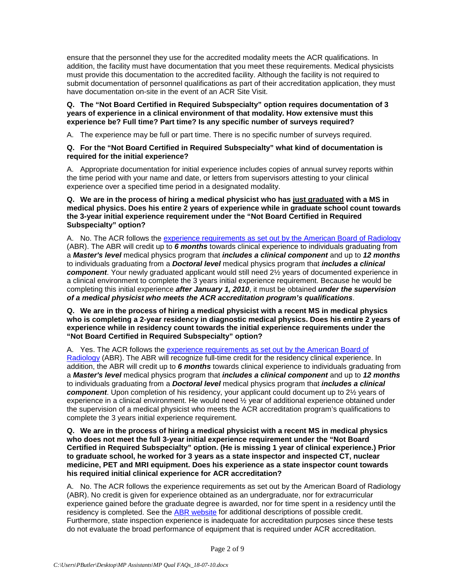ensure that the personnel they use for the accredited modality meets the ACR qualifications. In addition, the facility must have documentation that you meet these requirements. Medical physicists must provide this documentation to the accredited facility. Although the facility is not required to submit documentation of personnel qualifications as part of their accreditation application, they must have documentation on-site in the event of an ACR Site Visit.

**Q. The "Not Board Certified in Required Subspecialty" option requires documentation of 3 years of experience in a clinical environment of that modality. How extensive must this experience be? Full time? Part time? Is any specific number of surveys required?** 

A. The experience may be full or part time. There is no specific number of surveys required.

#### **Q. For the "Not Board Certified in Required Subspecialty" what kind of documentation is required for the initial experience?**

A. Appropriate documentation for initial experience includes copies of annual survey reports within the time period with your name and date, or letters from supervisors attesting to your clinical experience over a specified time period in a designated modality.

**Q. We are in the process of hiring a medical physicist who has just graduated with a MS in medical physics. Does his entire 2 years of experience while in graduate school count towards the 3-year initial experience requirement under the "Not Board Certified in Required Subspecialty" option?**

A. No. The ACR follows the [experience requirements as set out by the American Board](https://www.theabr.org/medical-physics/initial-certification/part-2-exam/requirements-application) of Radiology (ABR). The ABR will credit up to *6 months* towards clinical experience to individuals graduating from a *Master's level* medical physics program that *includes a clinical component* and up to *12 months* to individuals graduating from a *Doctoral level* medical physics program that *includes a clinical component*. Your newly graduated applicant would still need 2½ years of documented experience in a clinical environment to complete the 3 years initial experience requirement. Because he would be completing this initial experience *after January 1, 2010*, it must be obtained *under the supervision of a medical physicist who meets the ACR accreditation program's qualifications*.

**Q. We are in the process of hiring a medical physicist with a recent MS in medical physics who is completing a 2-year residency in diagnostic medical physics. Does his entire 2 years of experience while in residency count towards the initial experience requirements under the "Not Board Certified in Required Subspecialty" option?**

A. Yes. The ACR follows the experience requirements as set out by the American Board of [Radiology](https://www.theabr.org/medical-physics/initial-certification/part-2-exam/requirements-application) (ABR). The ABR will recognize full-time credit for the residency clinical experience. In addition, the ABR will credit up to *6 months* towards clinical experience to individuals graduating from a *Master's level* medical physics program that *includes a clinical component* and up to *12 months* to individuals graduating from a *Doctoral level* medical physics program that *includes a clinical component*. Upon completion of his residency, your applicant could document up to 2½ years of experience in a clinical environment. He would need  $\frac{1}{2}$  year of additional experience obtained under the supervision of a medical physicist who meets the ACR accreditation program's qualifications to complete the 3 years initial experience requirement.

**Q. We are in the process of hiring a medical physicist with a recent MS in medical physics who does not meet the full 3-year initial experience requirement under the "Not Board Certified in Required Subspecialty" option. (He is missing 1 year of clinical experience.) Prior to graduate school, he worked for 3 years as a state inspector and inspected CT, nuclear medicine, PET and MRI equipment. Does his experience as a state inspector count towards his required initial clinical experience for ACR accreditation?**

A. No. The ACR follows the experience requirements as set out by the American Board of Radiology (ABR). No credit is given for experience obtained as an undergraduate, nor for extracurricular experience gained before the graduate degree is awarded, nor for time spent in a residency until the residency is completed. See the [ABR website](https://www.theabr.org/medical-physics/initial-certification/part-2-exam/requirements-application) for additional descriptions of possible credit. Furthermore, state inspection experience is inadequate for accreditation purposes since these tests do not evaluate the broad performance of equipment that is required under ACR accreditation.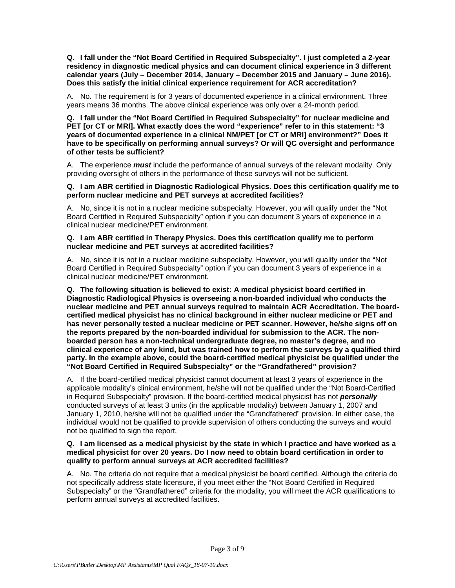**Q. I fall under the "Not Board Certified in Required Subspecialty". I just completed a 2-year residency in diagnostic medical physics and can document clinical experience in 3 different calendar years (July – December 2014, January – December 2015 and January – June 2016). Does this satisfy the initial clinical experience requirement for ACR accreditation?**

A. No. The requirement is for 3 years of documented experience in a clinical environment. Three years means 36 months. The above clinical experience was only over a 24-month period.

**Q. I fall under the "Not Board Certified in Required Subspecialty" for nuclear medicine and PET [or CT or MRI]. What exactly does the word "experience" refer to in this statement: "3 years of documented experience in a clinical NM/PET [or CT or MRI] environment?" Does it have to be specifically on performing annual surveys? Or will QC oversight and performance of other tests be sufficient?**

A. The experience *must* include the performance of annual surveys of the relevant modality. Only providing oversight of others in the performance of these surveys will not be sufficient.

#### **Q. I am ABR certified in Diagnostic Radiological Physics. Does this certification qualify me to perform nuclear medicine and PET surveys at accredited facilities?**

A. No, since it is not in a nuclear medicine subspecialty. However, you will qualify under the "Not Board Certified in Required Subspecialty" option if you can document 3 years of experience in a clinical nuclear medicine/PET environment.

#### **Q. I am ABR certified in Therapy Physics. Does this certification qualify me to perform nuclear medicine and PET surveys at accredited facilities?**

A. No, since it is not in a nuclear medicine subspecialty. However, you will qualify under the "Not Board Certified in Required Subspecialty" option if you can document 3 years of experience in a clinical nuclear medicine/PET environment.

**Q. The following situation is believed to exist: A medical physicist board certified in Diagnostic Radiological Physics is overseeing a non-boarded individual who conducts the nuclear medicine and PET annual surveys required to maintain ACR Accreditation. The boardcertified medical physicist has no clinical background in either nuclear medicine or PET and has never personally tested a nuclear medicine or PET scanner. However, he/she signs off on the reports prepared by the non-boarded individual for submission to the ACR. The nonboarded person has a non-technical undergraduate degree, no master's degree, and no clinical experience of any kind, but was trained how to perform the surveys by a qualified third party. In the example above, could the board-certified medical physicist be qualified under the "Not Board Certified in Required Subspecialty" or the "Grandfathered" provision?**

A. If the board-certified medical physicist cannot document at least 3 years of experience in the applicable modality's clinical environment, he/she will not be qualified under the "Not Board-Certified in Required Subspecialty" provision. If the board-certified medical physicist has not *personally* conducted surveys of at least 3 units (in the applicable modality) between January 1, 2007 and January 1, 2010, he/she will not be qualified under the "Grandfathered" provision. In either case, the individual would not be qualified to provide supervision of others conducting the surveys and would not be qualified to sign the report.

#### **Q. I am licensed as a medical physicist by the state in which I practice and have worked as a medical physicist for over 20 years. Do I now need to obtain board certification in order to qualify to perform annual surveys at ACR accredited facilities?**

A. No. The criteria do not require that a medical physicist be board certified. Although the criteria do not specifically address state licensure, if you meet either the "Not Board Certified in Required Subspecialty" or the "Grandfathered" criteria for the modality, you will meet the ACR qualifications to perform annual surveys at accredited facilities.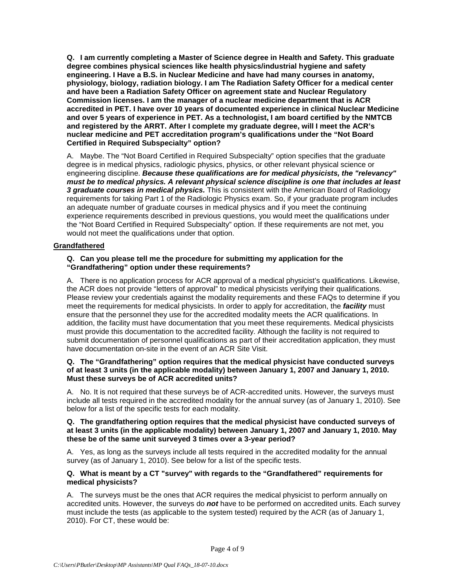**Q. I am currently completing a Master of Science degree in Health and Safety. This graduate degree combines physical sciences like health physics/industrial hygiene and safety engineering. I Have a B.S. in Nuclear Medicine and have had many courses in anatomy, physiology, biology, radiation biology. I am The Radiation Safety Officer for a medical center and have been a Radiation Safety Officer on agreement state and Nuclear Regulatory Commission licenses. I am the manager of a nuclear medicine department that is ACR accredited in PET. I have over 10 years of documented experience in clinical Nuclear Medicine and over 5 years of experience in PET. As a technologist, I am board certified by the NMTCB and registered by the ARRT. After I complete my graduate degree, will I meet the ACR's nuclear medicine and PET accreditation program's qualifications under the "Not Board Certified in Required Subspecialty" option?**

A. Maybe. The "Not Board Certified in Required Subspecialty" option specifies that the graduate degree is in medical physics, radiologic physics, physics, or other relevant physical science or engineering discipline. *Because these qualifications are for medical physicists, the "relevancy" must be to medical physics. A relevant physical science discipline is one that includes at least 3 graduate courses in medical physics.* This is consistent with the American Board of Radiology requirements for taking Part 1 of the Radiologic Physics exam. So, if your graduate program includes an adequate number of graduate courses in medical physics and if you meet the continuing experience requirements described in previous questions, you would meet the qualifications under the "Not Board Certified in Required Subspecialty" option. If these requirements are not met, you would not meet the qualifications under that option.

### <span id="page-3-0"></span>**Grandfathered**

#### **Q. Can you please tell me the procedure for submitting my application for the "Grandfathering" option under these requirements?**

A. There is no application process for ACR approval of a medical physicist's qualifications. Likewise, the ACR does not provide "letters of approval" to medical physicists verifying their qualifications. Please review your credentials against the modality requirements and these FAQs to determine if you meet the requirements for medical physicists. In order to apply for accreditation, the *facility* must ensure that the personnel they use for the accredited modality meets the ACR qualifications. In addition, the facility must have documentation that you meet these requirements. Medical physicists must provide this documentation to the accredited facility. Although the facility is not required to submit documentation of personnel qualifications as part of their accreditation application, they must have documentation on-site in the event of an ACR Site Visit.

#### **Q. The "Grandfathering" option requires that the medical physicist have conducted surveys of at least 3 units (in the applicable modality) between January 1, 2007 and January 1, 2010. Must these surveys be of ACR accredited units?**

A. No. It is not required that these surveys be of ACR-accredited units. However, the surveys must include all tests required in the accredited modality for the annual survey (as of January 1, 2010). See below for a list of the specific tests for each modality.

#### **Q. The grandfathering option requires that the medical physicist have conducted surveys of at least 3 units (in the applicable modality) between January 1, 2007 and January 1, 2010. May these be of the same unit surveyed 3 times over a 3-year period?**

A. Yes, as long as the surveys include all tests required in the accredited modality for the annual survey (as of January 1, 2010). See below for a list of the specific tests.

#### **Q. What is meant by a CT "survey" with regards to the "Grandfathered" requirements for medical physicists?**

A. The surveys must be the ones that ACR requires the medical physicist to perform annually on accredited units. However, the surveys do *not* have to be performed on accredited units. Each survey must include the tests (as applicable to the system tested) required by the ACR (as of January 1, 2010). For CT, these would be: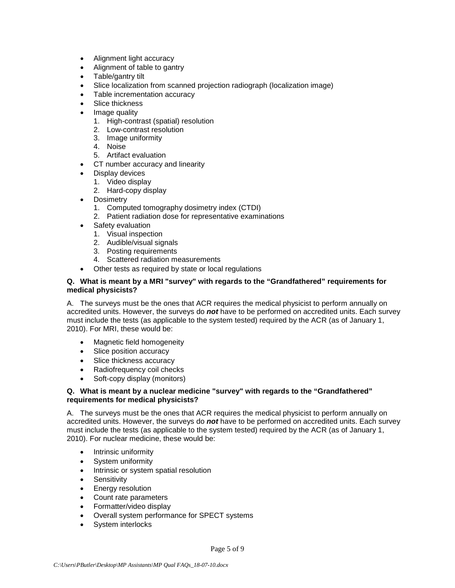- Alignment light accuracy
- Alignment of table to gantry
- Table/gantry tilt
- Slice localization from scanned projection radiograph (localization image)
- Table incrementation accuracy
- Slice thickness
- Image quality
	- 1. High-contrast (spatial) resolution
	- 2. Low-contrast resolution
	- 3. Image uniformity
	- 4. Noise
	- 5. Artifact evaluation
- CT number accuracy and linearity
- Display devices
	- 1. Video display
	- 2. Hard-copy display
- Dosimetry
	- 1. Computed tomography dosimetry index (CTDI)
	- 2. Patient radiation dose for representative examinations
- Safety evaluation
	- 1. Visual inspection
	- 2. Audible/visual signals
	- 3. Posting requirements
	- 4. Scattered radiation measurements
	- Other tests as required by state or local regulations

#### **Q. What is meant by a MRI "survey" with regards to the "Grandfathered" requirements for medical physicists?**

A. The surveys must be the ones that ACR requires the medical physicist to perform annually on accredited units. However, the surveys do *not* have to be performed on accredited units. Each survey must include the tests (as applicable to the system tested) required by the ACR (as of January 1, 2010). For MRI, these would be:

- Magnetic field homogeneity
- Slice position accuracy
- Slice thickness accuracy
- Radiofrequency coil checks
- Soft-copy display (monitors)

#### **Q. What is meant by a nuclear medicine "survey" with regards to the "Grandfathered" requirements for medical physicists?**

A. The surveys must be the ones that ACR requires the medical physicist to perform annually on accredited units. However, the surveys do *not* have to be performed on accredited units. Each survey must include the tests (as applicable to the system tested) required by the ACR (as of January 1, 2010). For nuclear medicine, these would be:

- Intrinsic uniformity
- System uniformity
- Intrinsic or system spatial resolution
- Sensitivity
- Energy resolution
- Count rate parameters
- Formatter/video display
- Overall system performance for SPECT systems
- System interlocks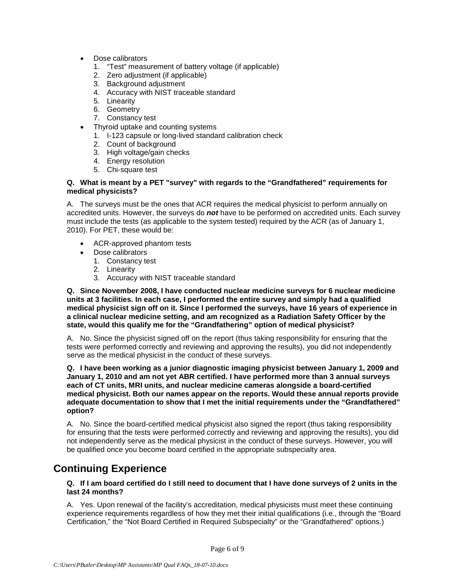- Dose calibrators
	- 1. "Test" measurement of battery voltage (if applicable)
	- 2. Zero adjustment (if applicable)
	- 3. Background adjustment
	- 4. Accuracy with NIST traceable standard
	- 5. Linearity
	- 6. Geometry
	- 7. Constancy test
- Thyroid uptake and counting systems
	- 1. I-123 capsule or long-lived standard calibration check
	- 2. Count of background
	- 3. High voltage/gain checks
	- 4. Energy resolution
	- 5. Chi-square test

#### **Q. What is meant by a PET "survey" with regards to the "Grandfathered" requirements for medical physicists?**

A. The surveys must be the ones that ACR requires the medical physicist to perform annually on accredited units. However, the surveys do *not* have to be performed on accredited units. Each survey must include the tests (as applicable to the system tested) required by the ACR (as of January 1, 2010). For PET, these would be:

- ACR-approved phantom tests
- Dose calibrators
	- 1. Constancy test
	- 2. Linearity
	- 3. Accuracy with NIST traceable standard

**Q. Since November 2008, I have conducted nuclear medicine surveys for 6 nuclear medicine units at 3 facilities. In each case, I performed the entire survey and simply had a qualified medical physicist sign off on it. Since I performed the surveys, have 16 years of experience in a clinical nuclear medicine setting, and am recognized as a Radiation Safety Officer by the state, would this qualify me for the "Grandfathering" option of medical physicist?**

A. No. Since the physicist signed off on the report (thus taking responsibility for ensuring that the tests were performed correctly and reviewing and approving the results), you did not independently serve as the medical physicist in the conduct of these surveys.

**Q. I have been working as a junior diagnostic imaging physicist between January 1, 2009 and January 1, 2010 and am not yet ABR certified. I have performed more than 3 annual surveys each of CT units, MRI units, and nuclear medicine cameras alongside a board-certified medical physicist. Both our names appear on the reports. Would these annual reports provide adequate documentation to show that I met the initial requirements under the "Grandfathered" option?**

A. No. Since the board-certified medical physicist also signed the report (thus taking responsibility for ensuring that the tests were performed correctly and reviewing and approving the results), you did not independently serve as the medical physicist in the conduct of these surveys. However, you will be qualified once you become board certified in the appropriate subspecialty area.

# <span id="page-5-0"></span>**Continuing Experience**

#### **Q. If I am board certified do I still need to document that I have done surveys of 2 units in the last 24 months?**

A. Yes. Upon renewal of the facility's accreditation, medical physicists must meet these continuing experience requirements regardless of how they met their initial qualifications (i.e., through the "Board Certification," the "Not Board Certified in Required Subspecialty" or the "Grandfathered" options.)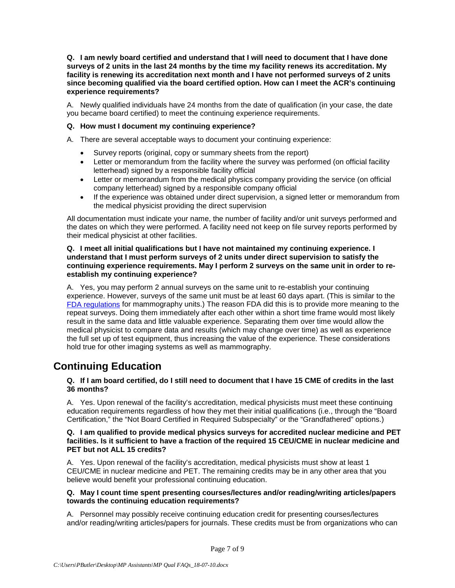**Q. I am newly board certified and understand that I will need to document that I have done surveys of 2 units in the last 24 months by the time my facility renews its accreditation. My facility is renewing its accreditation next month and I have not performed surveys of 2 units since becoming qualified via the board certified option. How can I meet the ACR's continuing experience requirements?**

A. Newly qualified individuals have 24 months from the date of qualification (in your case, the date you became board certified) to meet the continuing experience requirements.

#### **Q. How must I document my continuing experience?**

A. There are several acceptable ways to document your continuing experience:

- Survey reports (original, copy or summary sheets from the report)
- Letter or memorandum from the facility where the survey was performed (on official facility letterhead) signed by a responsible facility official
- Letter or memorandum from the medical physics company providing the service (on official company letterhead) signed by a responsible company official
- If the experience was obtained under direct supervision, a signed letter or memorandum from the medical physicist providing the direct supervision

All documentation must indicate your name, the number of facility and/or unit surveys performed and the dates on which they were performed. A facility need not keep on file survey reports performed by their medical physicist at other facilities.

#### **Q. I meet all initial qualifications but I have not maintained my continuing experience. I understand that I must perform surveys of 2 units under direct supervision to satisfy the continuing experience requirements. May I perform 2 surveys on the same unit in order to reestablish my continuing experience?**

A. Yes, you may perform 2 annual surveys on the same unit to re-establish your continuing experience. However, surveys of the same unit must be at least 60 days apart. (This is similar to the [FDA regulations](https://www.accessdata.fda.gov/cdrh_docs/presentations/pghs/Polic_Guidance_Help_System.htm) for mammography units.) The reason FDA did this is to provide more meaning to the repeat surveys. Doing them immediately after each other within a short time frame would most likely result in the same data and little valuable experience. Separating them over time would allow the medical physicist to compare data and results (which may change over time) as well as experience the full set up of test equipment, thus increasing the value of the experience. These considerations hold true for other imaging systems as well as mammography.

### <span id="page-6-0"></span>**Continuing Education**

#### **Q. If I am board certified, do I still need to document that I have 15 CME of credits in the last 36 months?**

A. Yes. Upon renewal of the facility's accreditation, medical physicists must meet these continuing education requirements regardless of how they met their initial qualifications (i.e., through the "Board Certification," the "Not Board Certified in Required Subspecialty" or the "Grandfathered" options.)

#### **Q. I am qualified to provide medical physics surveys for accredited nuclear medicine and PET facilities. Is it sufficient to have a fraction of the required 15 CEU/CME in nuclear medicine and PET but not ALL 15 credits?**

A. Yes. Upon renewal of the facility's accreditation, medical physicists must show at least 1 CEU/CME in nuclear medicine and PET. The remaining credits may be in any other area that you believe would benefit your professional continuing education.

### **Q. May I count time spent presenting courses/lectures and/or reading/writing articles/papers towards the continuing education requirements?**

A. Personnel may possibly receive continuing education credit for presenting courses/lectures and/or reading/writing articles/papers for journals. These credits must be from organizations who can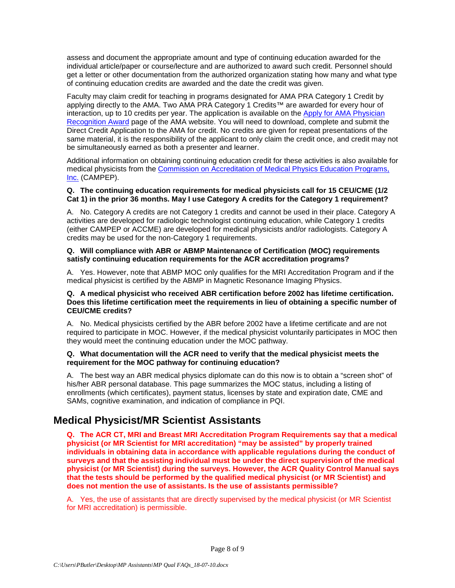assess and document the appropriate amount and type of continuing education awarded for the individual article/paper or course/lecture and are authorized to award such credit. Personnel should get a letter or other documentation from the authorized organization stating how many and what type of continuing education credits are awarded and the date the credit was given.

Faculty may claim credit for teaching in programs designated for AMA PRA Category 1 Credit by applying directly to the AMA. Two AMA PRA Category 1 Credits™ are awarded for every hour of interaction, up to 10 credits per year. The application is available on the [Apply for AMA Physician](https://www.ama-assn.org/education/apply-ama-physician-recognition-award)  [Recognition Award](https://www.ama-assn.org/education/apply-ama-physician-recognition-award) page of the AMA website. You will need to download, complete and submit the Direct Credit Application to the AMA for credit. No credits are given for repeat presentations of the same material, it is the responsibility of the applicant to only claim the credit once, and credit may not be simultaneously earned as both a presenter and learner.

Additional information on obtaining continuing education credit for these activities is also available for medical physicists from the [Commission on Accreditation of Medical Physics Education Programs,](http://www.campep.org/Criteria.asp)  [Inc.](http://www.campep.org/Criteria.asp) (CAMPEP).

#### **Q. The continuing education requirements for medical physicists call for 15 CEU/CME (1/2 Cat 1) in the prior 36 months. May I use Category A credits for the Category 1 requirement?**

A. No. Category A credits are not Category 1 credits and cannot be used in their place. Category A activities are developed for radiologic technologist continuing education, while Category 1 credits (either CAMPEP or ACCME) are developed for medical physicists and/or radiologists. Category A credits may be used for the non-Category 1 requirements.

#### **Q. Will compliance with ABR or ABMP Maintenance of Certification (MOC) requirements satisfy continuing education requirements for the ACR accreditation programs?**

A. Yes. However, note that ABMP MOC only qualifies for the MRI Accreditation Program and if the medical physicist is certified by the ABMP in Magnetic Resonance Imaging Physics.

#### **Q. A medical physicist who received ABR certification before 2002 has lifetime certification. Does this lifetime certification meet the requirements in lieu of obtaining a specific number of CEU/CME credits?**

A. No. Medical physicists certified by the ABR before 2002 have a lifetime certificate and are not required to participate in MOC. However, if the medical physicist voluntarily participates in MOC then they would meet the continuing education under the MOC pathway.

#### **Q. What documentation will the ACR need to verify that the medical physicist meets the requirement for the MOC pathway for continuing education?**

A. The best way an ABR medical physics diplomate can do this now is to obtain a "screen shot" of his/her ABR personal database. This page summarizes the MOC status, including a listing of enrollments (which certificates), payment status, licenses by state and expiration date, CME and SAMs, cognitive examination, and indication of compliance in PQI.

# <span id="page-7-0"></span>**Medical Physicist/MR Scientist Assistants**

**Q. The ACR CT, MRI and Breast MRI Accreditation Program Requirements say that a medical physicist (or MR Scientist for MRI accreditation) "may be assisted" by properly trained individuals in obtaining data in accordance with applicable regulations during the conduct of surveys and that the assisting individual must be under the direct supervision of the medical physicist (or MR Scientist) during the surveys. However, the ACR Quality Control Manual says that the tests should be performed by the qualified medical physicist (or MR Scientist) and does not mention the use of assistants. Is the use of assistants permissible?**

A. Yes, the use of assistants that are directly supervised by the medical physicist (or MR Scientist for MRI accreditation) is permissible.